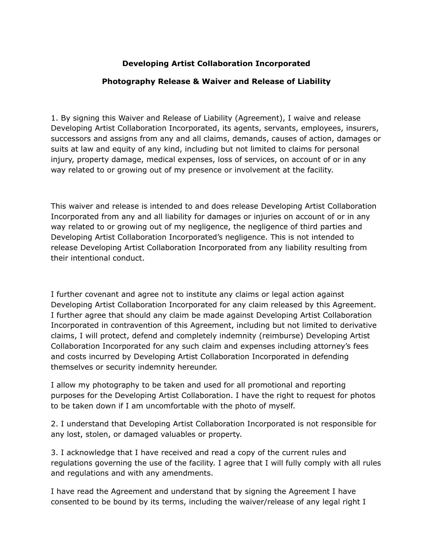## **Developing Artist Collaboration Incorporated**

## **Photography Release & Waiver and Release of Liability**

1. By signing this Waiver and Release of Liability (Agreement), I waive and release Developing Artist Collaboration Incorporated, its agents, servants, employees, insurers, successors and assigns from any and all claims, demands, causes of action, damages or suits at law and equity of any kind, including but not limited to claims for personal injury, property damage, medical expenses, loss of services, on account of or in any way related to or growing out of my presence or involvement at the facility.

This waiver and release is intended to and does release Developing Artist Collaboration Incorporated from any and all liability for damages or injuries on account of or in any way related to or growing out of my negligence, the negligence of third parties and Developing Artist Collaboration Incorporated's negligence. This is not intended to release Developing Artist Collaboration Incorporated from any liability resulting from their intentional conduct.

I further covenant and agree not to institute any claims or legal action against Developing Artist Collaboration Incorporated for any claim released by this Agreement. I further agree that should any claim be made against Developing Artist Collaboration Incorporated in contravention of this Agreement, including but not limited to derivative claims, I will protect, defend and completely indemnity (reimburse) Developing Artist Collaboration Incorporated for any such claim and expenses including attorney's fees and costs incurred by Developing Artist Collaboration Incorporated in defending themselves or security indemnity hereunder.

I allow my photography to be taken and used for all promotional and reporting purposes for the Developing Artist Collaboration. I have the right to request for photos to be taken down if I am uncomfortable with the photo of myself.

2. I understand that Developing Artist Collaboration Incorporated is not responsible for any lost, stolen, or damaged valuables or property.

3. I acknowledge that I have received and read a copy of the current rules and regulations governing the use of the facility. I agree that I will fully comply with all rules and regulations and with any amendments.

I have read the Agreement and understand that by signing the Agreement I have consented to be bound by its terms, including the waiver/release of any legal right I